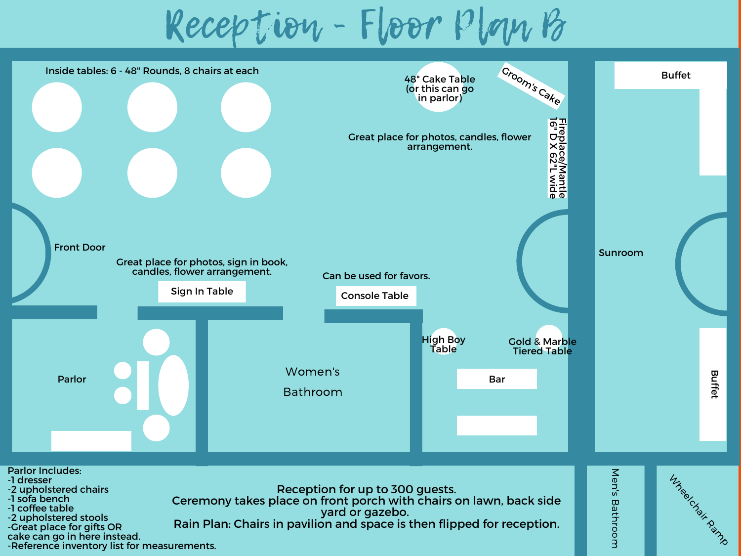Reception - Floor Plan B



cake can go in here instead. -Reference inventory list for measurements.